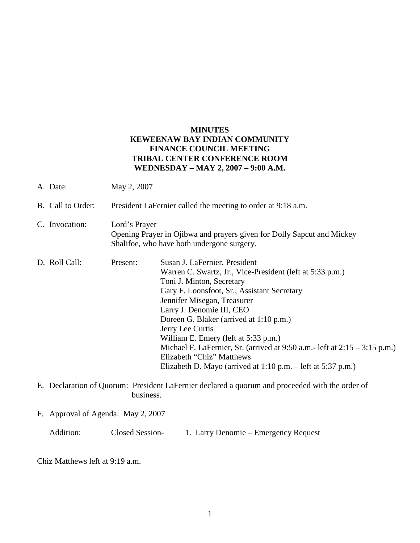## **MINUTES KEWEENAW BAY INDIAN COMMUNITY FINANCE COUNCIL MEETING TRIBAL CENTER CONFERENCE ROOM WEDNESDAY – MAY 2, 2007 – 9:00 A.M.**

- A. Date: May 2, 2007
- B. Call to Order: President LaFernier called the meeting to order at 9:18 a.m.
- C. Invocation: Lord's Prayer Opening Prayer in Ojibwa and prayers given for Dolly Sapcut and Mickey Shalifoe, who have both undergone surgery.
- D. Roll Call: Present: Susan J. LaFernier, President Warren C. Swartz, Jr., Vice-President (left at 5:33 p.m.) Toni J. Minton, Secretary Gary F. Loonsfoot, Sr., Assistant Secretary Jennifer Misegan, Treasurer Larry J. Denomie III, CEO Doreen G. Blaker (arrived at 1:10 p.m.) Jerry Lee Curtis William E. Emery (left at 5:33 p.m.) Michael F. LaFernier, Sr. (arrived at  $9:50$  a.m.- left at  $2:15 - 3:15$  p.m.) Elizabeth "Chiz" Matthews Elizabeth D. Mayo (arrived at 1:10 p.m. – left at 5:37 p.m.)
- E. Declaration of Quorum: President LaFernier declared a quorum and proceeded with the order of business.
- F. Approval of Agenda: May 2, 2007

Chiz Matthews left at 9:19 a.m.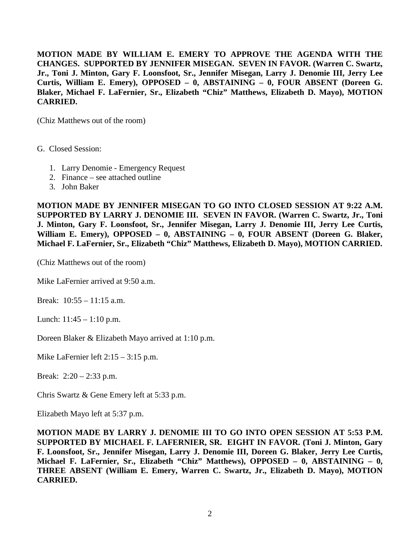**MOTION MADE BY WILLIAM E. EMERY TO APPROVE THE AGENDA WITH THE CHANGES. SUPPORTED BY JENNIFER MISEGAN. SEVEN IN FAVOR. (Warren C. Swartz, Jr., Toni J. Minton, Gary F. Loonsfoot, Sr., Jennifer Misegan, Larry J. Denomie III, Jerry Lee Curtis, William E. Emery), OPPOSED – 0, ABSTAINING – 0, FOUR ABSENT (Doreen G. Blaker, Michael F. LaFernier, Sr., Elizabeth "Chiz" Matthews, Elizabeth D. Mayo), MOTION CARRIED.**

(Chiz Matthews out of the room)

G. Closed Session:

- 1. Larry Denomie Emergency Request
- 2. Finance see attached outline
- 3. John Baker

**MOTION MADE BY JENNIFER MISEGAN TO GO INTO CLOSED SESSION AT 9:22 A.M. SUPPORTED BY LARRY J. DENOMIE III. SEVEN IN FAVOR. (Warren C. Swartz, Jr., Toni J. Minton, Gary F. Loonsfoot, Sr., Jennifer Misegan, Larry J. Denomie III, Jerry Lee Curtis, William E. Emery), OPPOSED – 0, ABSTAINING – 0, FOUR ABSENT (Doreen G. Blaker, Michael F. LaFernier, Sr., Elizabeth "Chiz" Matthews, Elizabeth D. Mayo), MOTION CARRIED.**

(Chiz Matthews out of the room)

Mike LaFernier arrived at 9:50 a.m.

Break: 10:55 – 11:15 a.m.

Lunch:  $11:45 - 1:10$  p.m.

Doreen Blaker & Elizabeth Mayo arrived at 1:10 p.m.

Mike LaFernier left 2:15 – 3:15 p.m.

Break: 2:20 – 2:33 p.m.

Chris Swartz & Gene Emery left at 5:33 p.m.

Elizabeth Mayo left at 5:37 p.m.

**MOTION MADE BY LARRY J. DENOMIE III TO GO INTO OPEN SESSION AT 5:53 P.M. SUPPORTED BY MICHAEL F. LAFERNIER, SR. EIGHT IN FAVOR. (Toni J. Minton, Gary F. Loonsfoot, Sr., Jennifer Misegan, Larry J. Denomie III, Doreen G. Blaker, Jerry Lee Curtis, Michael F. LaFernier, Sr., Elizabeth "Chiz" Matthews), OPPOSED – 0, ABSTAINING – 0, THREE ABSENT (William E. Emery, Warren C. Swartz, Jr., Elizabeth D. Mayo), MOTION CARRIED.**